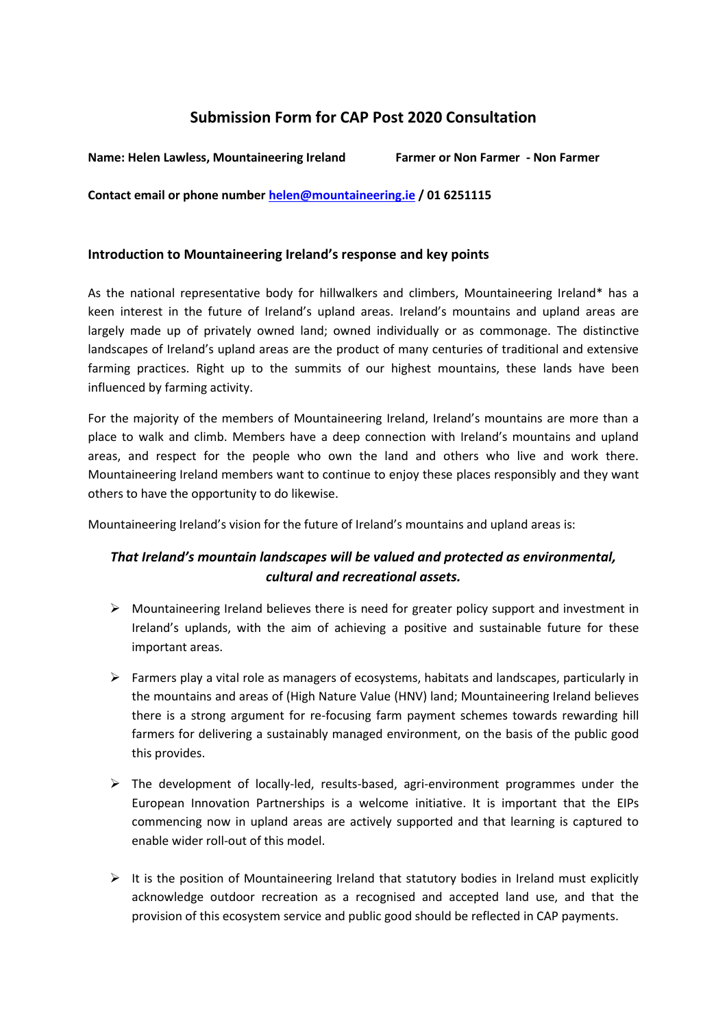# **Submission Form for CAP Post 2020 Consultation**

**Name: Helen Lawless, Mountaineering Ireland Farmer or Non Farmer - Non Farmer**

**Contact email or phone number [helen@mountaineering.ie](mailto:helen@mountaineering.ie) / 01 6251115** 

## **Introduction to Mountaineering Ireland's response and key points**

As the national representative body for hillwalkers and climbers, Mountaineering Ireland\* has a keen interest in the future of Ireland's upland areas. Ireland's mountains and upland areas are largely made up of privately owned land; owned individually or as commonage. The distinctive landscapes of Ireland's upland areas are the product of many centuries of traditional and extensive farming practices. Right up to the summits of our highest mountains, these lands have been influenced by farming activity.

For the majority of the members of Mountaineering Ireland, Ireland's mountains are more than a place to walk and climb. Members have a deep connection with Ireland's mountains and upland areas, and respect for the people who own the land and others who live and work there. Mountaineering Ireland members want to continue to enjoy these places responsibly and they want others to have the opportunity to do likewise.

Mountaineering Ireland's vision for the future of Ireland's mountains and upland areas is:

# *That Ireland's mountain landscapes will be valued and protected as environmental, cultural and recreational assets.*

- $\triangleright$  Mountaineering Ireland believes there is need for greater policy support and investment in Ireland's uplands, with the aim of achieving a positive and sustainable future for these important areas.
- $\triangleright$  Farmers play a vital role as managers of ecosystems, habitats and landscapes, particularly in the mountains and areas of (High Nature Value (HNV) land; Mountaineering Ireland believes there is a strong argument for re-focusing farm payment schemes towards rewarding hill farmers for delivering a sustainably managed environment, on the basis of the public good this provides.
- $\triangleright$  The development of locally-led, results-based, agri-environment programmes under the European Innovation Partnerships is a welcome initiative. It is important that the EIPs commencing now in upland areas are actively supported and that learning is captured to enable wider roll-out of this model.
- $\triangleright$  It is the position of Mountaineering Ireland that statutory bodies in Ireland must explicitly acknowledge outdoor recreation as a recognised and accepted land use, and that the provision of this ecosystem service and public good should be reflected in CAP payments.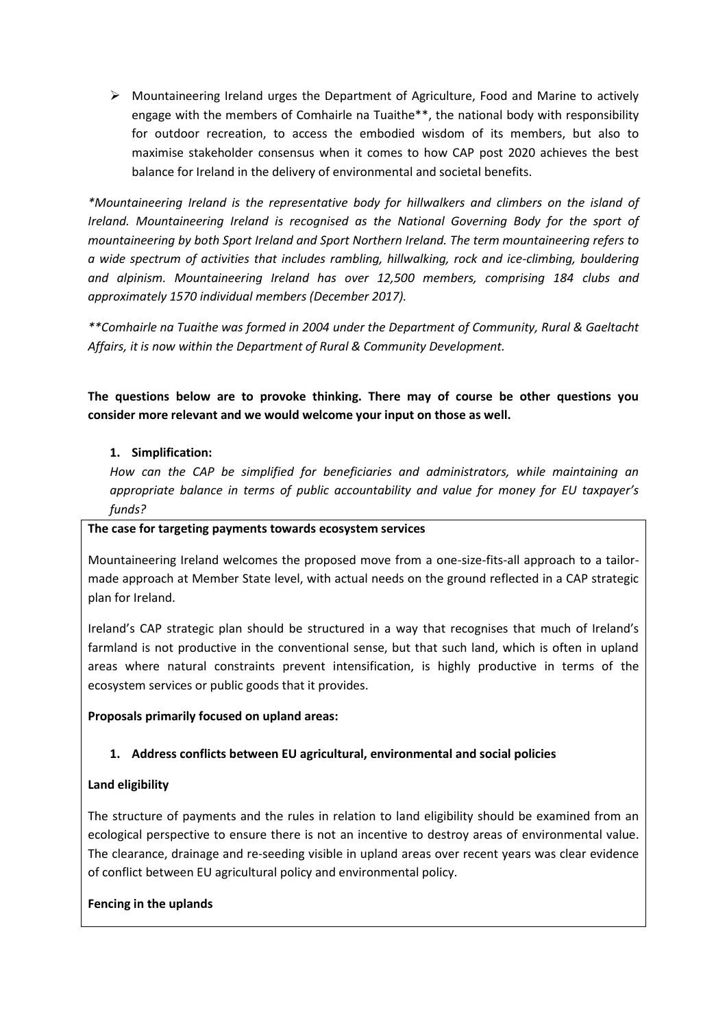$\triangleright$  Mountaineering Ireland urges the Department of Agriculture, Food and Marine to actively engage with the members of Comhairle na Tuaithe\*\*, the national body with responsibility for outdoor recreation, to access the embodied wisdom of its members, but also to maximise stakeholder consensus when it comes to how CAP post 2020 achieves the best balance for Ireland in the delivery of environmental and societal benefits.

*\*Mountaineering Ireland is the representative body for hillwalkers and climbers on the island of Ireland. Mountaineering Ireland is recognised as the National Governing Body for the sport of mountaineering by both Sport Ireland and Sport Northern Ireland. The term mountaineering refers to a wide spectrum of activities that includes rambling, hillwalking, rock and ice-climbing, bouldering and alpinism. Mountaineering Ireland has over 12,500 members, comprising 184 clubs and approximately 1570 individual members (December 2017).*

*\*\*Comhairle na Tuaithe was formed in 2004 under the Department of Community, Rural & Gaeltacht Affairs, it is now within the Department of Rural & Community Development.*

**The questions below are to provoke thinking. There may of course be other questions you consider more relevant and we would welcome your input on those as well.** 

## **1. Simplification:**

*How can the CAP be simplified for beneficiaries and administrators, while maintaining an appropriate balance in terms of public accountability and value for money for EU taxpayer's funds?*

## **The case for targeting payments towards ecosystem services**

Mountaineering Ireland welcomes the proposed move from a one-size-fits-all approach to a tailormade approach at Member State level, with actual needs on the ground reflected in a CAP strategic plan for Ireland.

Ireland's CAP strategic plan should be structured in a way that recognises that much of Ireland's farmland is not productive in the conventional sense, but that such land, which is often in upland areas where natural constraints prevent intensification, is highly productive in terms of the ecosystem services or public goods that it provides.

## **Proposals primarily focused on upland areas:**

# **1. Address conflicts between EU agricultural, environmental and social policies**

# **Land eligibility**

The structure of payments and the rules in relation to land eligibility should be examined from an ecological perspective to ensure there is not an incentive to destroy areas of environmental value. The clearance, drainage and re-seeding visible in upland areas over recent years was clear evidence of conflict between EU agricultural policy and environmental policy.

## **Fencing in the uplands**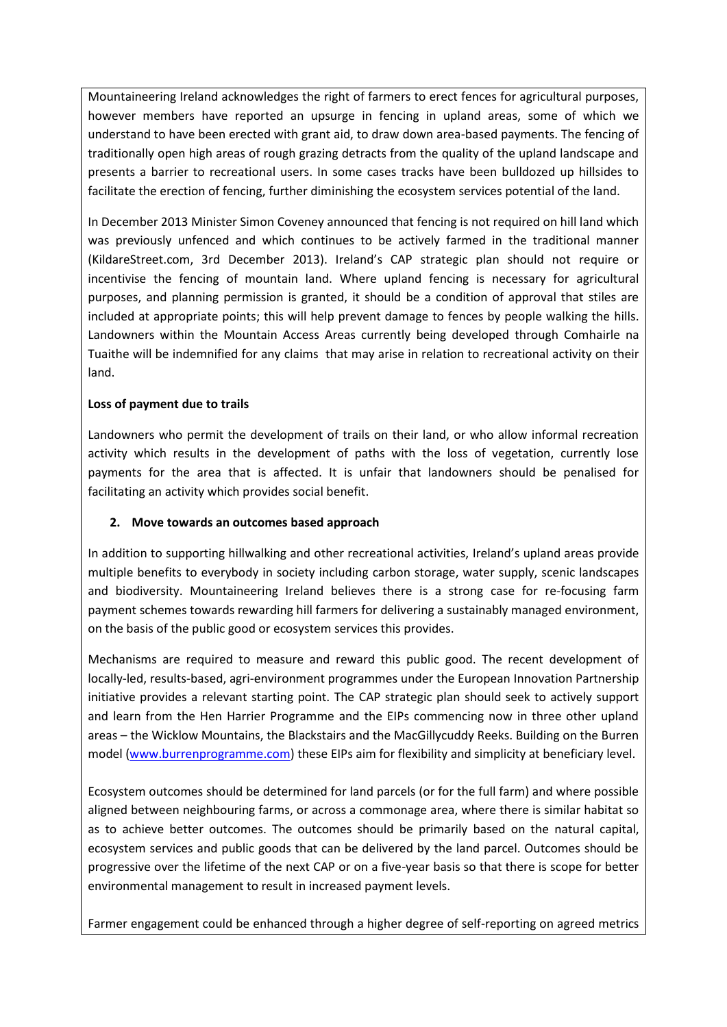Mountaineering Ireland acknowledges the right of farmers to erect fences for agricultural purposes, however members have reported an upsurge in fencing in upland areas, some of which we understand to have been erected with grant aid, to draw down area-based payments. The fencing of traditionally open high areas of rough grazing detracts from the quality of the upland landscape and presents a barrier to recreational users. In some cases tracks have been bulldozed up hillsides to facilitate the erection of fencing, further diminishing the ecosystem services potential of the land.

In December 2013 Minister Simon Coveney announced that fencing is not required on hill land which was previously unfenced and which continues to be actively farmed in the traditional manner (KildareStreet.com, 3rd December 2013). Ireland's CAP strategic plan should not require or incentivise the fencing of mountain land. Where upland fencing is necessary for agricultural purposes, and planning permission is granted, it should be a condition of approval that stiles are included at appropriate points; this will help prevent damage to fences by people walking the hills. Landowners within the Mountain Access Areas currently being developed through Comhairle na Tuaithe will be indemnified for any claims that may arise in relation to recreational activity on their land.

## **Loss of payment due to trails**

Landowners who permit the development of trails on their land, or who allow informal recreation activity which results in the development of paths with the loss of vegetation, currently lose payments for the area that is affected. It is unfair that landowners should be penalised for facilitating an activity which provides social benefit.

# **2. Move towards an outcomes based approach**

In addition to supporting hillwalking and other recreational activities, Ireland's upland areas provide multiple benefits to everybody in society including carbon storage, water supply, scenic landscapes and biodiversity. Mountaineering Ireland believes there is a strong case for re-focusing farm payment schemes towards rewarding hill farmers for delivering a sustainably managed environment, on the basis of the public good or ecosystem services this provides.

Mechanisms are required to measure and reward this public good. The recent development of locally-led, results-based, agri-environment programmes under the European Innovation Partnership initiative provides a relevant starting point. The CAP strategic plan should seek to actively support and learn from the Hen Harrier Programme and the EIPs commencing now in three other upland areas – the Wicklow Mountains, the Blackstairs and the MacGillycuddy Reeks. Building on the Burren model [\(www.burrenprogramme.com\)](http://www.burrenprogramme.com/) these EIPs aim for flexibility and simplicity at beneficiary level.

Ecosystem outcomes should be determined for land parcels (or for the full farm) and where possible aligned between neighbouring farms, or across a commonage area, where there is similar habitat so as to achieve better outcomes. The outcomes should be primarily based on the natural capital, ecosystem services and public goods that can be delivered by the land parcel. Outcomes should be progressive over the lifetime of the next CAP or on a five-year basis so that there is scope for better environmental management to result in increased payment levels.

Farmer engagement could be enhanced through a higher degree of self-reporting on agreed metrics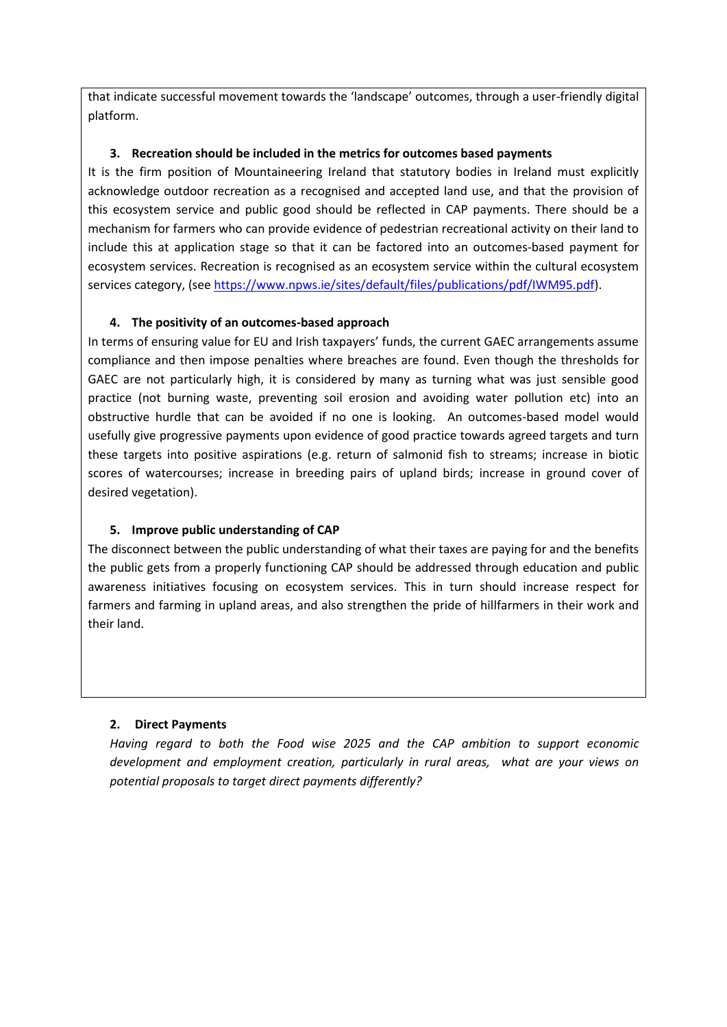that indicate successful movement towards the 'landscape' outcomes, through a user-friendly digital platform.

## **3. Recreation should be included in the metrics for outcomes based payments**

It is the firm position of Mountaineering Ireland that statutory bodies in Ireland must explicitly acknowledge outdoor recreation as a recognised and accepted land use, and that the provision of this ecosystem service and public good should be reflected in CAP payments. There should be a mechanism for farmers who can provide evidence of pedestrian recreational activity on their land to include this at application stage so that it can be factored into an outcomes-based payment for ecosystem services. Recreation is recognised as an ecosystem service within the cultural ecosystem services category, (see [https://www.npws.ie/sites/default/files/publications/pdf/IWM95.pdf\)](https://www.npws.ie/sites/default/files/publications/pdf/IWM95.pdf).

## **4. The positivity of an outcomes-based approach**

In terms of ensuring value for EU and Irish taxpayers' funds, the current GAEC arrangements assume compliance and then impose penalties where breaches are found. Even though the thresholds for GAEC are not particularly high, it is considered by many as turning what was just sensible good practice (not burning waste, preventing soil erosion and avoiding water pollution etc) into an obstructive hurdle that can be avoided if no one is looking. An outcomes-based model would usefully give progressive payments upon evidence of good practice towards agreed targets and turn these targets into positive aspirations (e.g. return of salmonid fish to streams; increase in biotic scores of watercourses; increase in breeding pairs of upland birds; increase in ground cover of desired vegetation).

# **5. Improve public understanding of CAP**

The disconnect between the public understanding of what their taxes are paying for and the benefits the public gets from a properly functioning CAP should be addressed through education and public awareness initiatives focusing on ecosystem services. This in turn should increase respect for farmers and farming in upland areas, and also strengthen the pride of hillfarmers in their work and their land.

## **2. Direct Payments**

*Having regard to both the Food wise 2025 and the CAP ambition to support economic development and employment creation, particularly in rural areas, what are your views on potential proposals to target direct payments differently?*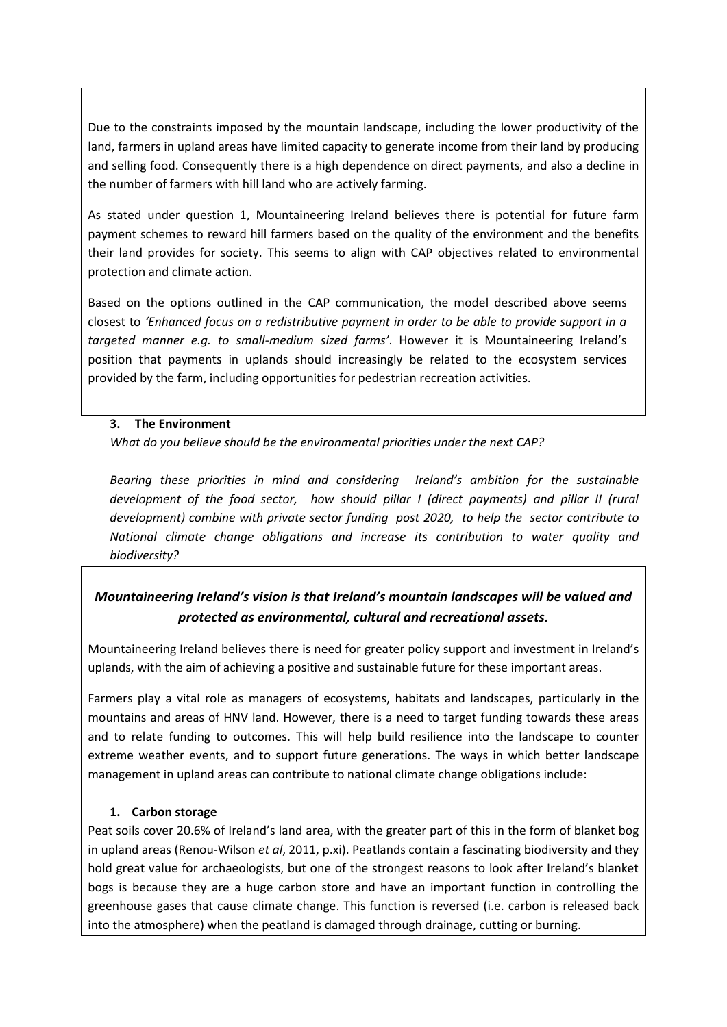Due to the constraints imposed by the mountain landscape, including the lower productivity of the land, farmers in upland areas have limited capacity to generate income from their land by producing and selling food. Consequently there is a high dependence on direct payments, and also a decline in the number of farmers with hill land who are actively farming.

As stated under question 1, Mountaineering Ireland believes there is potential for future farm payment schemes to reward hill farmers based on the quality of the environment and the benefits their land provides for society. This seems to align with CAP objectives related to environmental protection and climate action.

Based on the options outlined in the CAP communication, the model described above seems closest to *'Enhanced focus on a redistributive payment in order to be able to provide support in a targeted manner e.g. to small-medium sized farms'*. However it is Mountaineering Ireland's position that payments in uplands should increasingly be related to the ecosystem services provided by the farm, including opportunities for pedestrian recreation activities.

#### **3. The Environment**

*What do you believe should be the environmental priorities under the next CAP?*

*Bearing these priorities in mind and considering Ireland's ambition for the sustainable development of the food sector, how should pillar I (direct payments) and pillar II (rural development) combine with private sector funding post 2020, to help the sector contribute to National climate change obligations and increase its contribution to water quality and biodiversity?*

# *Mountaineering Ireland's vision is that Ireland's mountain landscapes will be valued and protected as environmental, cultural and recreational assets.*

Mountaineering Ireland believes there is need for greater policy support and investment in Ireland's uplands, with the aim of achieving a positive and sustainable future for these important areas.

Farmers play a vital role as managers of ecosystems, habitats and landscapes, particularly in the mountains and areas of HNV land. However, there is a need to target funding towards these areas and to relate funding to outcomes. This will help build resilience into the landscape to counter extreme weather events, and to support future generations. The ways in which better landscape management in upland areas can contribute to national climate change obligations include:

## **1. Carbon storage**

Peat soils cover 20.6% of Ireland's land area, with the greater part of this in the form of blanket bog in upland areas (Renou-Wilson *et al*, 2011, p.xi). Peatlands contain a fascinating biodiversity and they hold great value for archaeologists, but one of the strongest reasons to look after Ireland's blanket bogs is because they are a huge carbon store and have an important function in controlling the greenhouse gases that cause climate change. This function is reversed (i.e. carbon is released back into the atmosphere) when the peatland is damaged through drainage, cutting or burning.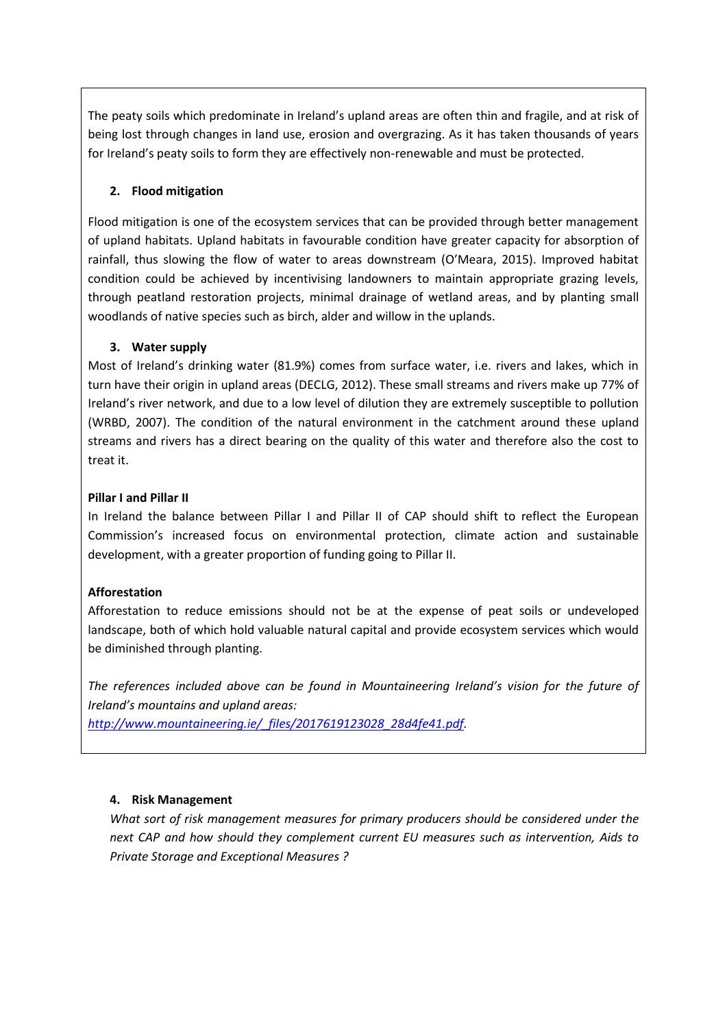The peaty soils which predominate in Ireland's upland areas are often thin and fragile, and at risk of being lost through changes in land use, erosion and overgrazing. As it has taken thousands of years for Ireland's peaty soils to form they are effectively non-renewable and must be protected.

## **2. Flood mitigation**

Flood mitigation is one of the ecosystem services that can be provided through better management of upland habitats. Upland habitats in favourable condition have greater capacity for absorption of rainfall, thus slowing the flow of water to areas downstream (O'Meara, 2015). Improved habitat condition could be achieved by incentivising landowners to maintain appropriate grazing levels, through peatland restoration projects, minimal drainage of wetland areas, and by planting small woodlands of native species such as birch, alder and willow in the uplands.

## **3. Water supply**

Most of Ireland's drinking water (81.9%) comes from surface water, i.e. rivers and lakes, which in turn have their origin in upland areas (DECLG, 2012). These small streams and rivers make up 77% of Ireland's river network, and due to a low level of dilution they are extremely susceptible to pollution (WRBD, 2007). The condition of the natural environment in the catchment around these upland streams and rivers has a direct bearing on the quality of this water and therefore also the cost to treat it.

## **Pillar I and Pillar II**

In Ireland the balance between Pillar I and Pillar II of CAP should shift to reflect the European Commission's increased focus on environmental protection, climate action and sustainable development, with a greater proportion of funding going to Pillar II.

## **Afforestation**

Afforestation to reduce emissions should not be at the expense of peat soils or undeveloped landscape, both of which hold valuable natural capital and provide ecosystem services which would be diminished through planting.

*The references included above can be found in Mountaineering Ireland's vision for the future of Ireland's mountains and upland areas:*

*[http://www.mountaineering.ie/\\_files/2017619123028\\_28d4fe41.pdf.](http://www.mountaineering.ie/_files/2017619123028_28d4fe41.pdf)*

## **4. Risk Management**

*What sort of risk management measures for primary producers should be considered under the next CAP and how should they complement current EU measures such as intervention, Aids to Private Storage and Exceptional Measures ?*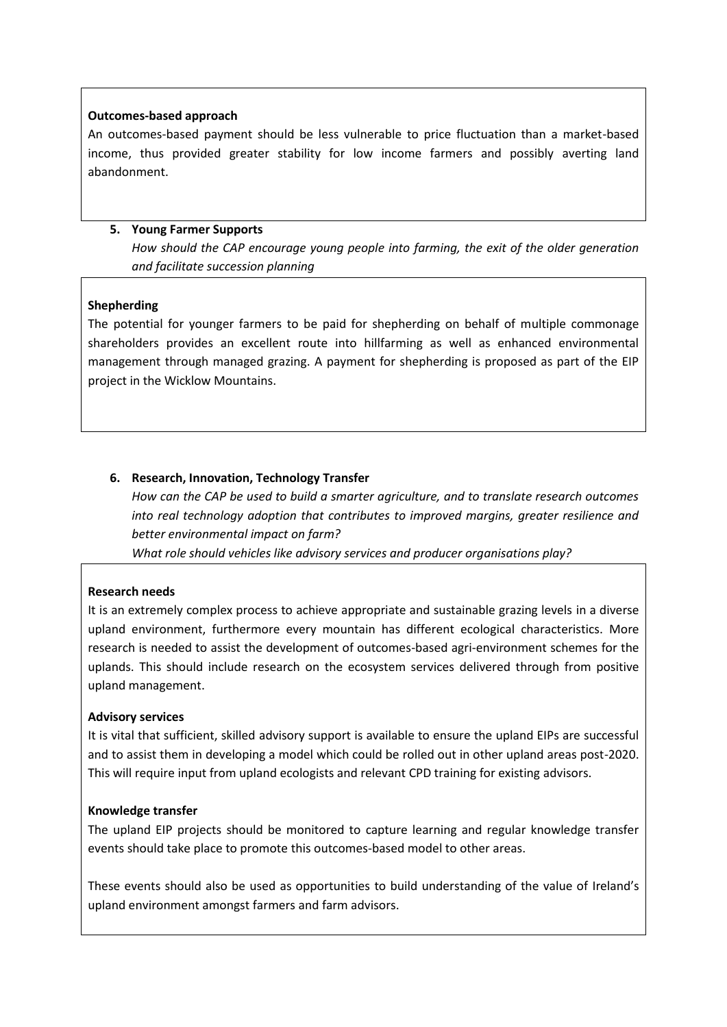#### **Outcomes-based approach**

An outcomes-based payment should be less vulnerable to price fluctuation than a market-based income, thus provided greater stability for low income farmers and possibly averting land abandonment.

### **5. Young Farmer Supports**

*How should the CAP encourage young people into farming, the exit of the older generation and facilitate succession planning*

#### **Shepherding**

The potential for younger farmers to be paid for shepherding on behalf of multiple commonage shareholders provides an excellent route into hillfarming as well as enhanced environmental management through managed grazing. A payment for shepherding is proposed as part of the EIP project in the Wicklow Mountains.

## **6. Research, Innovation, Technology Transfer**

*How can the CAP be used to build a smarter agriculture, and to translate research outcomes into real technology adoption that contributes to improved margins, greater resilience and better environmental impact on farm?* 

*What role should vehicles like advisory services and producer organisations play?*

## **Research needs**

It is an extremely complex process to achieve appropriate and sustainable grazing levels in a diverse upland environment, furthermore every mountain has different ecological characteristics. More research is needed to assist the development of outcomes-based agri-environment schemes for the uplands. This should include research on the ecosystem services delivered through from positive upland management.

#### **Advisory services**

It is vital that sufficient, skilled advisory support is available to ensure the upland EIPs are successful and to assist them in developing a model which could be rolled out in other upland areas post-2020. This will require input from upland ecologists and relevant CPD training for existing advisors.

#### **Knowledge transfer**

The upland EIP projects should be monitored to capture learning and regular knowledge transfer events should take place to promote this outcomes-based model to other areas.

These events should also be used as opportunities to build understanding of the value of Ireland's upland environment amongst farmers and farm advisors.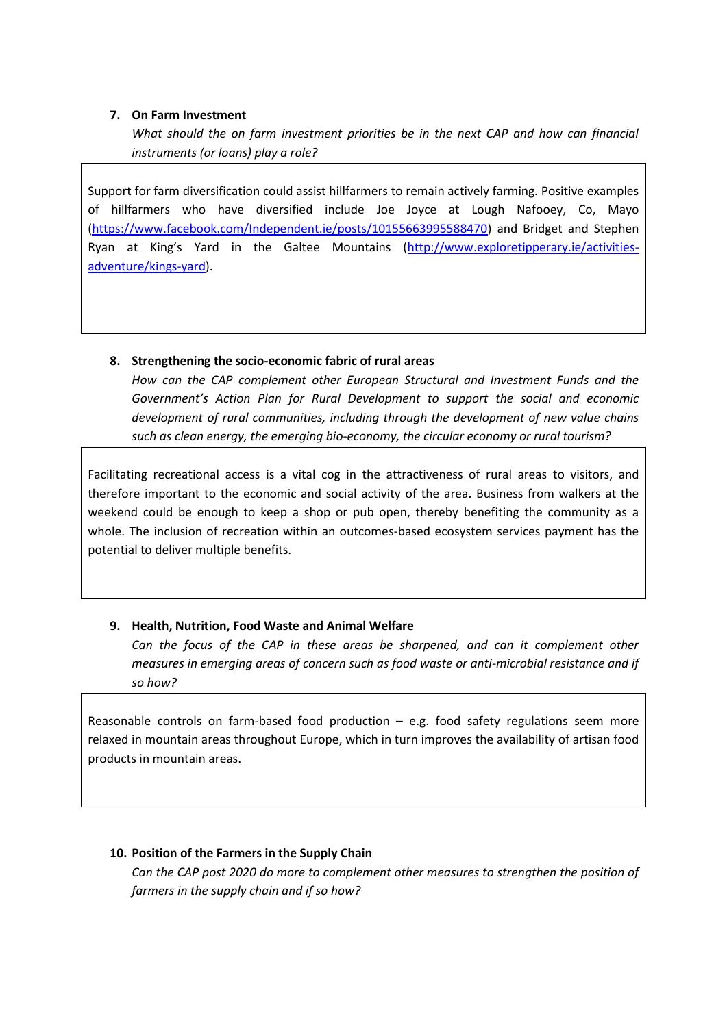## **7. On Farm Investment**

*What should the on farm investment priorities be in the next CAP and how can financial instruments (or loans) play a role?* 

Support for farm diversification could assist hillfarmers to remain actively farming. Positive examples of hillfarmers who have diversified include Joe Joyce at Lough Nafooey, Co, Mayo [\(https://www.facebook.com/Independent.ie/posts/10155663995588470\)](https://www.facebook.com/Independent.ie/posts/10155663995588470) and Bridget and Stephen Ryan at King's Yard in the Galtee Mountains ([http://www.exploretipperary.ie/activities](http://www.exploretipperary.ie/activities-adventure/kings-yard)[adventure/kings-yard\)](http://www.exploretipperary.ie/activities-adventure/kings-yard).

## **8. Strengthening the socio-economic fabric of rural areas**

*How can the CAP complement other European Structural and Investment Funds and the Government's Action Plan for Rural Development to support the social and economic development of rural communities, including through the development of new value chains such as clean energy, the emerging bio-economy, the circular economy or rural tourism?*

Facilitating recreational access is a vital cog in the attractiveness of rural areas to visitors, and therefore important to the economic and social activity of the area. Business from walkers at the weekend could be enough to keep a shop or pub open, thereby benefiting the community as a whole. The inclusion of recreation within an outcomes-based ecosystem services payment has the potential to deliver multiple benefits.

#### **9. Health, Nutrition, Food Waste and Animal Welfare**

Can the focus of the CAP in these areas be sharpened, and can it complement other *measures in emerging areas of concern such as food waste or anti-microbial resistance and if so how?*

Reasonable controls on farm-based food production  $-$  e.g. food safety regulations seem more relaxed in mountain areas throughout Europe, which in turn improves the availability of artisan food products in mountain areas.

## **10. Position of the Farmers in the Supply Chain**

*Can the CAP post 2020 do more to complement other measures to strengthen the position of farmers in the supply chain and if so how?*